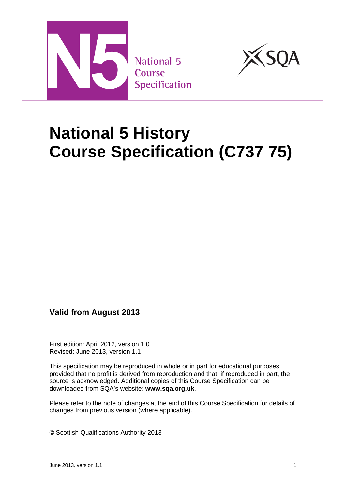



# **National 5 History Course Specification (C737 75)**

## **Valid from August 2013**

First edition: April 2012, version 1.0 Revised: June 2013, version 1.1

This specification may be reproduced in whole or in part for educational purposes provided that no profit is derived from reproduction and that, if reproduced in part, the source is acknowledged. Additional copies of this Course Specification can be downloaded from SQA's website: **www.sqa.org.uk**.

Please refer to the note of changes at the end of this Course Specification for details of changes from previous version (where applicable).

© Scottish Qualifications Authority 2013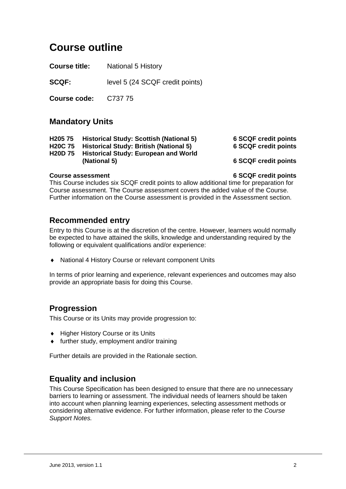## **Course outline**

**Course title:** National 5 History

**SCQF:** level 5 (24 SCQF credit points)

**Course code:** C737 75

### **Mandatory Units**

| H <sub>205</sub> 75 | <b>Historical Study: Scottish (National 5</b> |  |  |  |  |
|---------------------|-----------------------------------------------|--|--|--|--|
|---------------------|-----------------------------------------------|--|--|--|--|

**H20C 75 Historical Study: British (National 5) 6 SCQF credit points** 

**H20D 75 Historical Study: European and World (National 5) 6 SCQF credit points** 

**H205 75 Historical Study: Scottish (National 5) 6 SCQF credit points** 

**Course assessment 6 SCQF credit points** 

This Course includes six SCQF credit points to allow additional time for preparation for Course assessment. The Course assessment covers the added value of the Course. Further information on the Course assessment is provided in the Assessment section.

### **Recommended entry**

Entry to this Course is at the discretion of the centre. However, learners would normally be expected to have attained the skills, knowledge and understanding required by the following or equivalent qualifications and/or experience:

National 4 History Course or relevant component Units

In terms of prior learning and experience, relevant experiences and outcomes may also provide an appropriate basis for doing this Course.

## **Progression**

This Course or its Units may provide progression to:

- ◆ Higher History Course or its Units
- further study, employment and/or training

Further details are provided in the Rationale section.

## **Equality and inclusion**

This Course Specification has been designed to ensure that there are no unnecessary barriers to learning or assessment. The individual needs of learners should be taken into account when planning learning experiences, selecting assessment methods or considering alternative evidence. For further information, please refer to the *Course Support Notes.*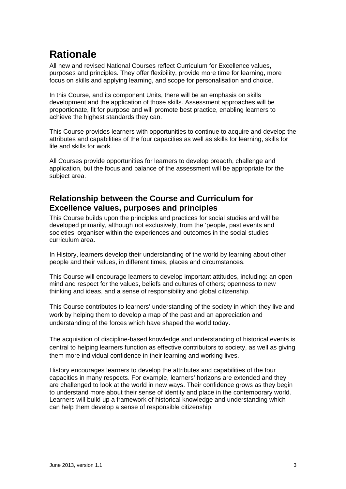## **Rationale**

All new and revised National Courses reflect Curriculum for Excellence values, purposes and principles. They offer flexibility, provide more time for learning, more focus on skills and applying learning, and scope for personalisation and choice.

In this Course, and its component Units, there will be an emphasis on skills development and the application of those skills. Assessment approaches will be proportionate, fit for purpose and will promote best practice, enabling learners to achieve the highest standards they can.

This Course provides learners with opportunities to continue to acquire and develop the attributes and capabilities of the four capacities as well as skills for learning, skills for life and skills for work.

All Courses provide opportunities for learners to develop breadth, challenge and application, but the focus and balance of the assessment will be appropriate for the subject area.

## **Relationship between the Course and Curriculum for Excellence values, purposes and principles**

This Course builds upon the principles and practices for social studies and will be developed primarily, although not exclusively, from the 'people, past events and societies' organiser within the experiences and outcomes in the social studies curriculum area.

In History, learners develop their understanding of the world by learning about other people and their values, in different times, places and circumstances.

This Course will encourage learners to develop important attitudes, including: an open mind and respect for the values, beliefs and cultures of others; openness to new thinking and ideas, and a sense of responsibility and global citizenship.

This Course contributes to learners' understanding of the society in which they live and work by helping them to develop a map of the past and an appreciation and understanding of the forces which have shaped the world today.

The acquisition of discipline-based knowledge and understanding of historical events is central to helping learners function as effective contributors to society, as well as giving them more individual confidence in their learning and working lives.

History encourages learners to develop the attributes and capabilities of the four capacities in many respects. For example, learners' horizons are extended and they are challenged to look at the world in new ways. Their confidence grows as they begin to understand more about their sense of identity and place in the contemporary world. Learners will build up a framework of historical knowledge and understanding which can help them develop a sense of responsible citizenship.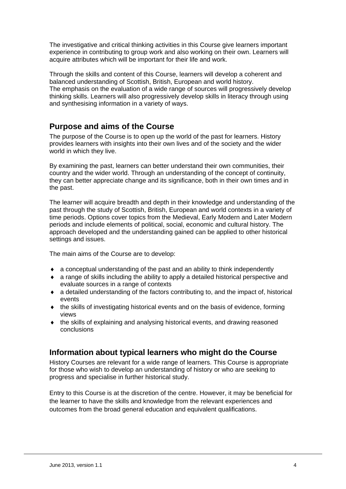The investigative and critical thinking activities in this Course give learners important experience in contributing to group work and also working on their own. Learners will acquire attributes which will be important for their life and work.

Through the skills and content of this Course, learners will develop a coherent and balanced understanding of Scottish, British, European and world history. The emphasis on the evaluation of a wide range of sources will progressively develop thinking skills. Learners will also progressively develop skills in literacy through using and synthesising information in a variety of ways.

## **Purpose and aims of the Course**

The purpose of the Course is to open up the world of the past for learners. History provides learners with insights into their own lives and of the society and the wider world in which they live.

By examining the past, learners can better understand their own communities, their country and the wider world. Through an understanding of the concept of continuity, they can better appreciate change and its significance, both in their own times and in the past.

The learner will acquire breadth and depth in their knowledge and understanding of the past through the study of Scottish, British, European and world contexts in a variety of time periods. Options cover topics from the Medieval, Early Modern and Later Modern periods and include elements of political, social, economic and cultural history. The approach developed and the understanding gained can be applied to other historical settings and issues.

The main aims of the Course are to develop:

- a conceptual understanding of the past and an ability to think independently
- a range of skills including the ability to apply a detailed historical perspective and evaluate sources in a range of contexts
- a detailed understanding of the factors contributing to, and the impact of, historical events
- the skills of investigating historical events and on the basis of evidence, forming views
- the skills of explaining and analysing historical events, and drawing reasoned conclusions

### **Information about typical learners who might do the Course**

History Courses are relevant for a wide range of learners. This Course is appropriate for those who wish to develop an understanding of history or who are seeking to progress and specialise in further historical study.

Entry to this Course is at the discretion of the centre. However, it may be beneficial for the learner to have the skills and knowledge from the relevant experiences and outcomes from the broad general education and equivalent qualifications.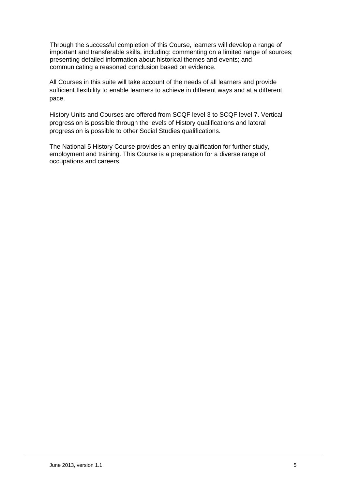Through the successful completion of this Course, learners will develop a range of important and transferable skills, including: commenting on a limited range of sources; presenting detailed information about historical themes and events; and communicating a reasoned conclusion based on evidence.

All Courses in this suite will take account of the needs of all learners and provide sufficient flexibility to enable learners to achieve in different ways and at a different pace.

History Units and Courses are offered from SCQF level 3 to SCQF level 7. Vertical progression is possible through the levels of History qualifications and lateral progression is possible to other Social Studies qualifications.

The National 5 History Course provides an entry qualification for further study, employment and training. This Course is a preparation for a diverse range of occupations and careers.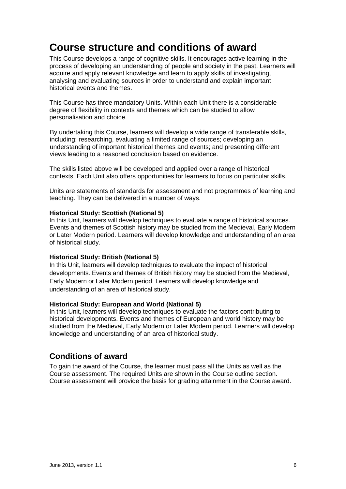## **Course structure and conditions of award**

This Course develops a range of cognitive skills. It encourages active learning in the process of developing an understanding of people and society in the past. Learners will acquire and apply relevant knowledge and learn to apply skills of investigating, analysing and evaluating sources in order to understand and explain important historical events and themes.

This Course has three mandatory Units. Within each Unit there is a considerable degree of flexibility in contexts and themes which can be studied to allow personalisation and choice.

By undertaking this Course, learners will develop a wide range of transferable skills, including: researching, evaluating a limited range of sources; developing an understanding of important historical themes and events; and presenting different views leading to a reasoned conclusion based on evidence.

The skills listed above will be developed and applied over a range of historical contexts. Each Unit also offers opportunities for learners to focus on particular skills.

Units are statements of standards for assessment and not programmes of learning and teaching. They can be delivered in a number of ways.

#### **Historical Study: Scottish (National 5)**

In this Unit, learners will develop techniques to evaluate a range of historical sources. Events and themes of Scottish history may be studied from the Medieval, Early Modern or Later Modern period. Learners will develop knowledge and understanding of an area of historical study.

#### **Historical Study: British (National 5)**

In this Unit, learners will develop techniques to evaluate the impact of historical developments. Events and themes of British history may be studied from the Medieval, Early Modern or Later Modern period. Learners will develop knowledge and understanding of an area of historical study.

#### **Historical Study: European and World (National 5)**

In this Unit, learners will develop techniques to evaluate the factors contributing to historical developments. Events and themes of European and world history may be studied from the Medieval, Early Modern or Later Modern period. Learners will develop knowledge and understanding of an area of historical study.

### **Conditions of award**

To gain the award of the Course, the learner must pass all the Units as well as the Course assessment. The required Units are shown in the Course outline section. Course assessment will provide the basis for grading attainment in the Course award.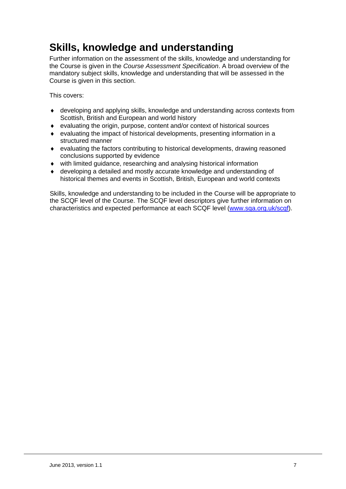## **Skills, knowledge and understanding**

Further information on the assessment of the skills, knowledge and understanding for the Course is given in the *Course Assessment Specification*. A broad overview of the mandatory subject skills, knowledge and understanding that will be assessed in the Course is given in this section.

This covers:

- developing and applying skills, knowledge and understanding across contexts from Scottish, British and European and world history
- evaluating the origin, purpose, content and/or context of historical sources
- evaluating the impact of historical developments, presenting information in a structured manner
- evaluating the factors contributing to historical developments, drawing reasoned conclusions supported by evidence
- with limited guidance, researching and analysing historical information
- developing a detailed and mostly accurate knowledge and understanding of historical themes and events in Scottish, British, European and world contexts

Skills, knowledge and understanding to be included in the Course will be appropriate to the SCQF level of the Course. The SCQF level descriptors give further information on characteristics and expected performance at each SCQF level (www.sqa.org.uk/scqf).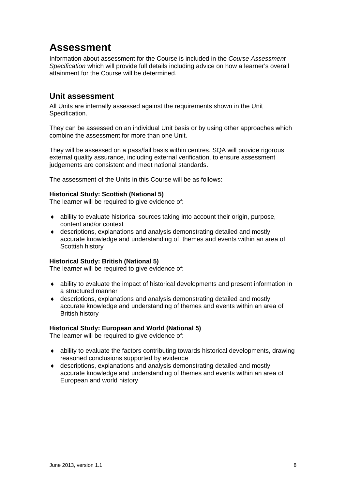## **Assessment**

Information about assessment for the Course is included in the *Course Assessment Specification* which will provide full details including advice on how a learner's overall attainment for the Course will be determined.

### **Unit assessment**

All Units are internally assessed against the requirements shown in the Unit Specification.

They can be assessed on an individual Unit basis or by using other approaches which combine the assessment for more than one Unit.

They will be assessed on a pass/fail basis within centres. SQA will provide rigorous external quality assurance, including external verification, to ensure assessment judgements are consistent and meet national standards.

The assessment of the Units in this Course will be as follows:

#### **Historical Study: Scottish (National 5)**

The learner will be required to give evidence of:

- ability to evaluate historical sources taking into account their origin, purpose, content and/or context
- descriptions, explanations and analysis demonstrating detailed and mostly accurate knowledge and understanding of themes and events within an area of Scottish history

#### **Historical Study: British (National 5)**

The learner will be required to give evidence of:

- ability to evaluate the impact of historical developments and present information in a structured manner
- descriptions, explanations and analysis demonstrating detailed and mostly accurate knowledge and understanding of themes and events within an area of British history

#### **Historical Study: European and World (National 5)**

The learner will be required to give evidence of:

- ability to evaluate the factors contributing towards historical developments, drawing reasoned conclusions supported by evidence
- descriptions, explanations and analysis demonstrating detailed and mostly accurate knowledge and understanding of themes and events within an area of European and world history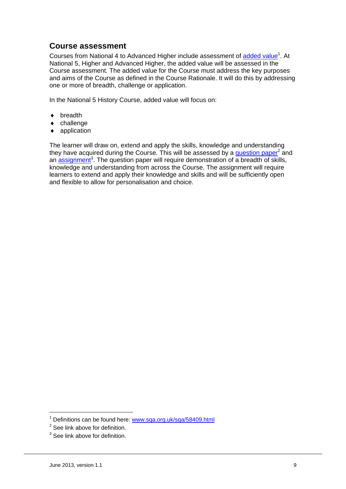### **Course assessment**

Courses from National 4 to Advanced Higher include assessment of added value<sup>1</sup>. At National 5, Higher and Advanced Higher, the added value will be assessed in the Course assessment. The added value for the Course must address the key purposes and aims of the Course as defined in the Course Rationale. It will do this by addressing one or more of breadth, challenge or application.

In the National 5 History Course, added value will focus on:

- ◆ breadth
- challenge
- application

The learner will draw on, extend and apply the skills, knowledge and understanding they have acquired during the Course. This will be assessed by a **question paper<sup>2</sup>** and an assignment<sup>3</sup>. The question paper will require demonstration of a breadth of skills, knowledge and understanding from across the Course. The assignment will require learners to extend and apply their knowledge and skills and will be sufficiently open and flexible to allow for personalisation and choice.

1

<sup>&</sup>lt;sup>1</sup> Definitions can be found here: www.sqa.org.uk/sqa/58409.html

 $2$  See link above for definition.

 $3$  See link above for definition.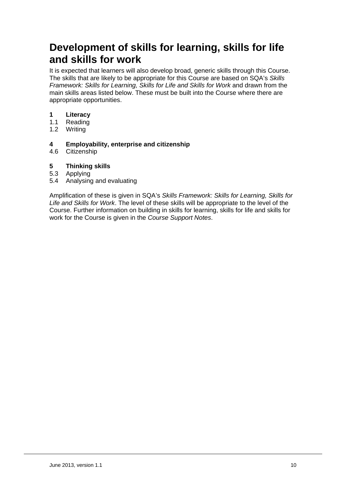## **Development of skills for learning, skills for life and skills for work**

It is expected that learners will also develop broad, generic skills through this Course. The skills that are likely to be appropriate for this Course are based on SQA's *Skills Framework: Skills for Learning, Skills for Life and Skills for Work* and drawn from the main skills areas listed below. These must be built into the Course where there are appropriate opportunities.

- **1 Literacy**
- 1.1 Reading
- 1.2 Writing

### **4 Employability, enterprise and citizenship**

4.6 Citizenship

### **5 Thinking skills**

- 5.3 Applying
- 5.4 Analysing and evaluating

Amplification of these is given in SQA's *Skills Framework: Skills for Learning, Skills for Life and Skills for Work*. The level of these skills will be appropriate to the level of the Course. Further information on building in skills for learning, skills for life and skills for work for the Course is given in the *Course Support Notes*.